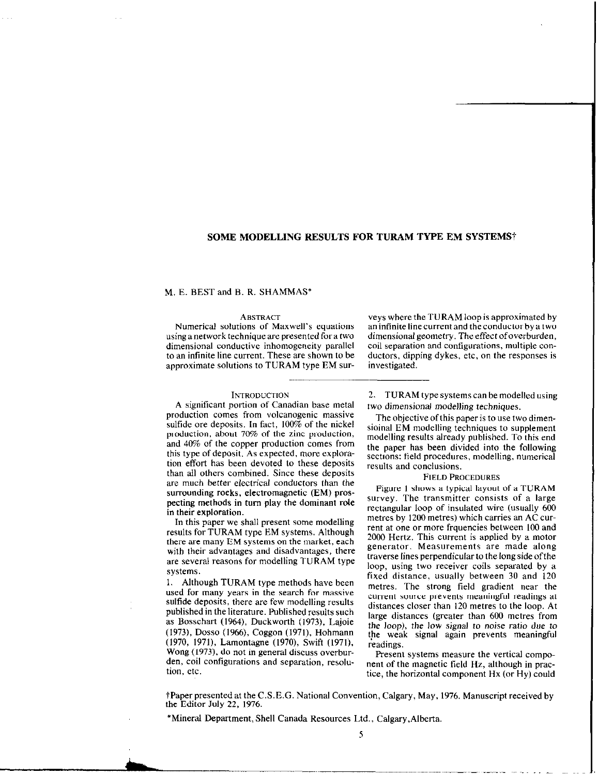# SOME MODELLING RESULTS FOR TURAM TYPE EM SYSTEMS†

## M. E. BEST and B. R. SHAMMAS'

using a network technique are presented for a two<br>dimensional conductive inhomogeneity parallel dimensional conductive inhomogeneity parallel coil separation and configurations, multiple control of an infinite line current. These are shown to be ductors, dipping dykes, etc. on the responses is approximate solutions to TURAM type EM sur- investigated.

## **INTRODUCTION**

A significant portion of Canadian base metal production comes from volcanogenic massive sulfide ore deposits. In fact, 100% of the nickel production, about 70% of the zinc production, and 40% of the copper production comes from this type of deposit. As expected, more exploration effort has been devoted to these deposits than all others combined. Since these deposits are much better electrical conductors than the surrounding rocks, electromagnetic (EM) prospecting methods in turn play the dominant role in their exploration.

In this paper we shall present some modelling results for TURAM type EM systems. Although there are many EM systems on the market, each with their advantages and disadvantages, there are several reasons for modelling TURAM type systems.

1. Although TURAM type methods have been used for many years in the search for massive sulfide deposits, there are few modelling results published in the literature. Published results such as Bosschart (1964), Duckworth (1973). Lajoie (1973), Dosso (1966), Coggon (1971), Hohmann (1970, 1971), Lamontagne (1970), Swift (1971), Wong (1973). do not in general discuss overburden, coil configurations and separation, resolution, etc.

ABSTRACT veys where the TURAM loop is approximated by<br>Numerical solutions of Maxwell's equations and infinite line current and the conductor by a two an infinite line current and the conductor by a two<br>dimensional geometry. The effect of overburden, ductors, dipping dykes, etc, on the responses is

> 2. TURAM type systems can be modelled using two dimensional modelling techniques.

> The objective of this paper is to use two dimensioinal EM modelling techniques to supplement modelling results already published. To this end the paper has been divided into the following sections: field procedures, modelling, numerical results and conclusions.

## FIELD PROCEDURES

Figure I shows a typical layout of a TURAM survey. The transmitter consists of a large rectangular loop of insulated wire (usually 600 metres by 1200 metres) which carries an AC current at one or more frquencies between 100 and 2000 Hertz. This current is applied by a motor generator. Measurements are made along traverse lines perpendicular to the long side ofthe loop, using two receiver coils separated by a fixed distance, usually between 30 and 120 metres. The strong field gradient near the current source prevents meaningful readings at distances closer than 120 metres to the loop. At large distances (greater than 600 metres from the loop), the low signal to noise ratio due to the weak signal again prevents meaningful readings.

Present systems measure the vertical component of the magnetic field Hz, although in practice, the horizontal component Hx (or Hy) could

<sup>†</sup>Paper presented at the C.S.E.G. National Convention, Calgary, May, 1976. Manuscript received by the Editor July 22, 1976.

\*Mineral Department, Shell Canada Resources Ltd., Calgary,Alberta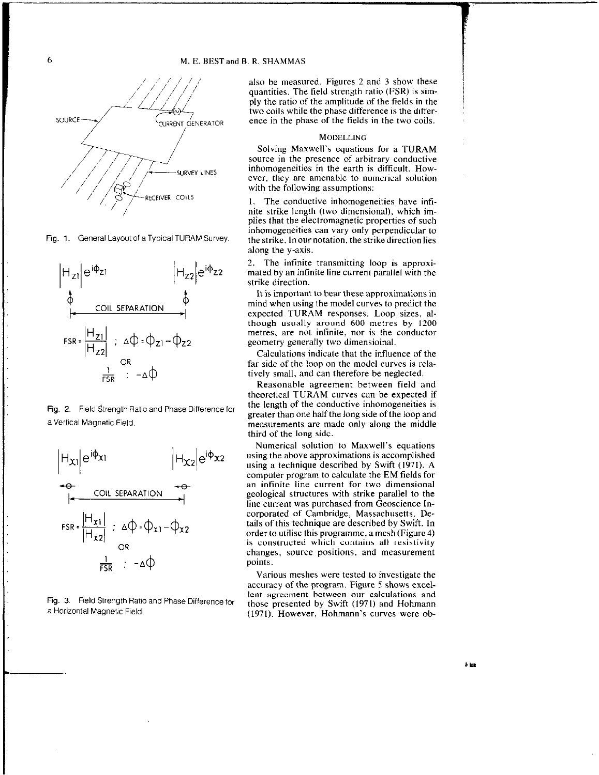

Fig. 1. General Layout of a Typical TURAM Survey.



Fig. 2. Field Strength Ratio and Phase Difference for a Vertical Magnetic Field.



Fig. 3. Field Strength Ratio and Phase Difference for a Horizontal Magnetic Field.

also be measured. Figures 2 and 3 show these quantities. The field strength ratio (FSR) is simply the ratio of the amplitude of the fields in the two coils while the phase difference is the difference in the phase of the fields in the two coils.

## **MODELLING**

Solving Maxwell's equations for a TURAM source in the presence of arbitrary conductive inhomogeneities in the earth is difficult. However, they are amenable to numerical solution with the following assumptions:

1. The conductive inhomogeneities have infinite strike length (two dimensional), which implies that the electromagnetic properties of such inhomogeneities can vary only perpendicular to the strike. In our notation, the strike direction lies along the y-axis.

2. The infinite transmitting loop is approximated by an infinite line current parallel with the strike direction.

It is important to bear these approximations in mind when using the model curves to predict the expected TURAM responses. Loop sizes, although usually around 600 metres by 1200 metres, are not infinite, nor is the conductor geometry generally two dimensioinal.

Calculations indicate that the influence of the far side of the loop on the model curves is relatively small, and can therefore be neglected.

Reasonable agreement between field and theoretical TURAM curves can be expected if the length of the conductive inhomogeneities is greater than one half the long side of the loop and measurements are made only along the middle third of the long side.

Numerical solution to Maxwell's equations using the above approximations is accomplished using a technique described by Swift (1971). A computer program to calculate the EM fields for an infinite line current for two dimensional geological structures with strike parallel to the line current was purchased from Geoscience Incorporated of Cambridge, Massachusetts. Details of this technique are described by Swift. In order to utilise this programme, a mesh (Figure 4) is constructed which contains all resistivity changes, source positions, and measurement points.

Various meshes were tested to investigate the accuracy of the program. Figure 5 shows excellent agreement between our calculations and those presented by Swift (1971) and Hohmann (1971). However, Hohmann's curves were ob-

6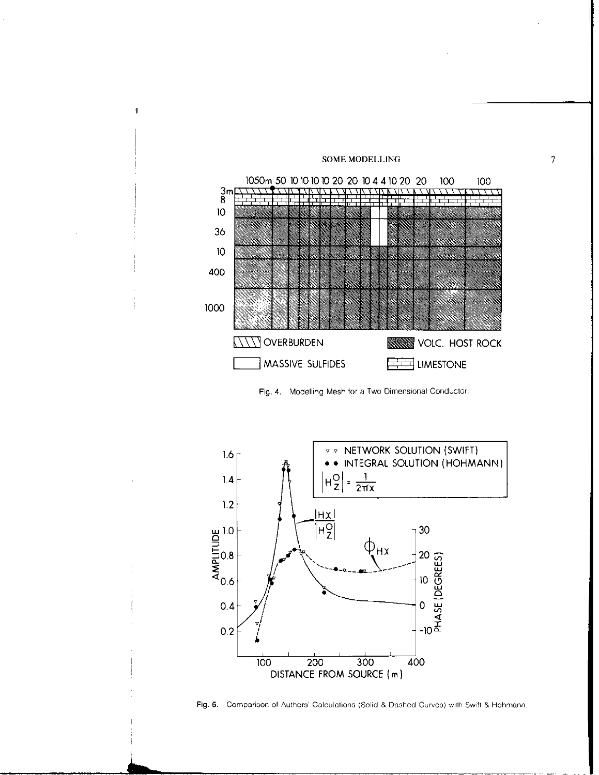

 $\boldsymbol{7}$ 

 $\sharp$ 

Fig. 4. Modelling Mesh for a Two Dimensional Conductor.



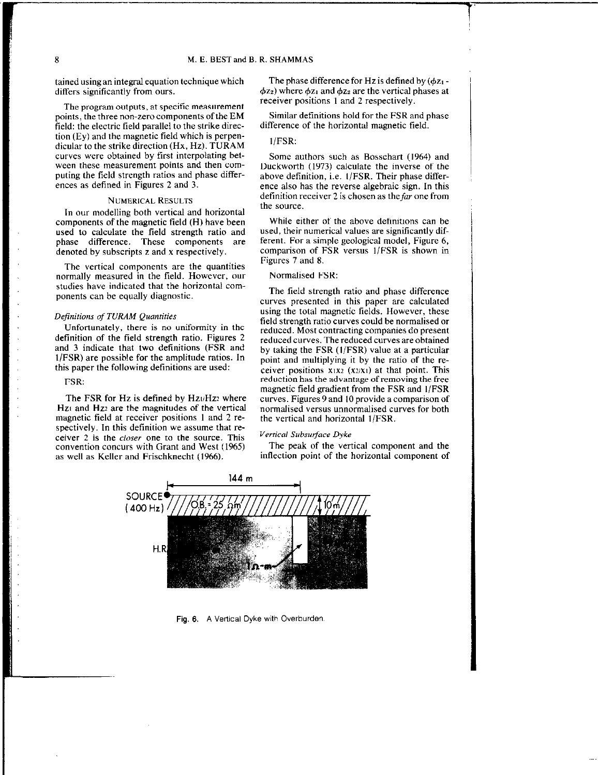tained usingan integral equation technique which differs significantly from ours.

The program outputs, at specific measurement points, the three non-zero components of the EM field: the electric field parallel to the strike direction (Ey) and the magnetic field which is perpendicular to the strike direction (Hx, Hz). TURAM curves were obtained by first interpolating between these measurement points and then computing the field strength ratios and phase differences as defined in Figures 2 and 3.

#### NUMENCAL RESULTS

In our modelling both vertical and horizontal components of the magnetic field (H) have been used to calculate the field strength ratio and phase difference. These components are denoted by subscripts z and x respectively.

The vertical components are the quantities normally measured in the field. However, our studies have indicated that the horizontal components can be equally diagnostic.

## Definitions of TURAM Quantities

Unfortunately, there is no uniformity in the detinition of the field strength ratio. Figures 2 and 3 indicate that two definitions (FSR and 1IFSR) are possible for the amplitude ratios. In this paper the following definitions are used:

## FSR:

The FSR for  $Hz$  is defined by  $Hz_1/Hz_2$  where Hz<sub>1</sub> and Hz<sub>2</sub> are the magnitudes of the vertical magnetic field at receiver positions I and 2 respectively. In this definition we assume that receiver 2 is the closer one to the source. This convention concurs with Grant and West (1965) as well as Keller and Frischknecht (1966).

The phase difference for Hz is defined by  $(\phi z_1 \phi$ z<sub>2</sub>) where  $\phi$ z<sub>1</sub> and  $\phi$ z<sub>2</sub> are the vertical phases at receiver positions 1 and 2 respectively.

Similar definitions hold for the FSR and phase difference of the horizontal magnetic field.

## $1/FSR$ :

Some authors such as Bosschart (1964) and Duckworth (1973) calculate the inverse of the above definition, i.e. 1/FSR. Their phase difference also has the reverse algebraic sign. In this definition receiver 2 is chosen as the far one from the source.

While either of the above definitions can be used, their numerical values are significantly different. For a simple geological model, Figure 6, comparison of FSR versus l/FSR is shown in Figures 7 and 8.

# Normalised FSR:

The field strength ratio and phase difference curves presented in this paper are calculated using the total magnetic fields. However, these field strength ratio curves could be normalised or reduced. Most contracting companies do present reduced curves. The reduced curves are obtained by taking the  $FSR$  (1/FSR) value at a particular point and multiplying it by the ratio of the receiver positions  $x_1x_2$  ( $x_2/x_1$ ) at that point. This reduction has the advantage of removing the free magnetic field gradient from the FSR and l/FSR curves. Figures 9 and IO provide a comparison of normalised versus unnormalised curves for both the vertical and horizontal 1/FSR.

# Vertical Subsurface Dyke

The peak of the vertical component and the inflection point of the horizontal component of



Fig. 6. A Vertical Dyke with Overburden,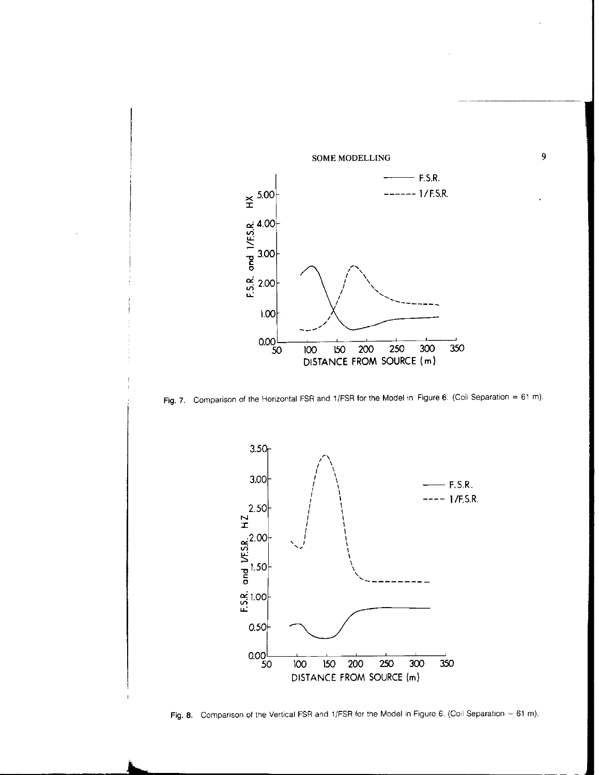

 $\overline{9}$ 





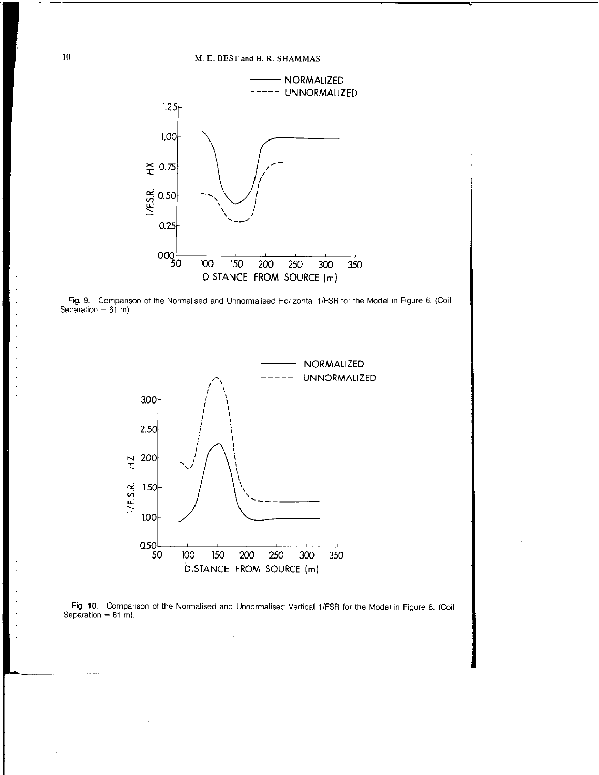





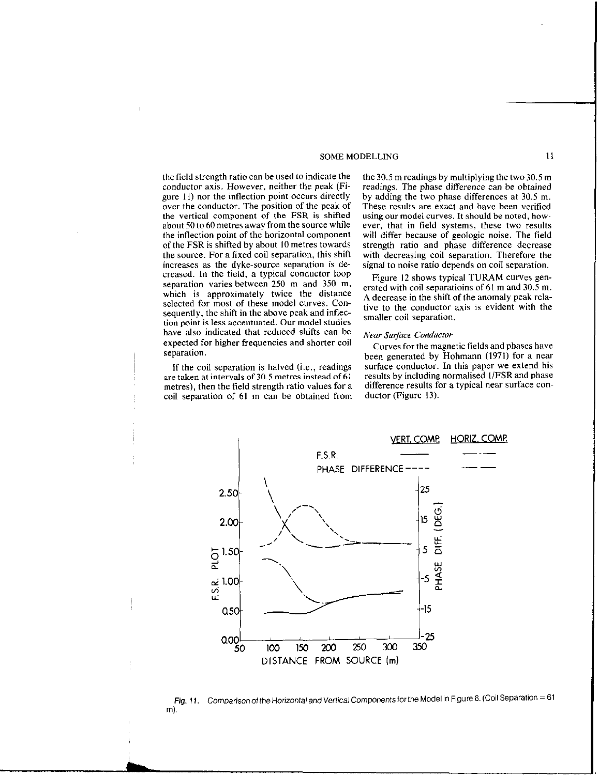the field strength ratio can be used to indicate the conductor axis. However, neither the peak (Figure 11) nor the inflection point occurs directly over the conductor. The position of the peak of the vertical component of the FSR is shifted about 50 to 60 metres away from the source while the inflection point of the horizontal component of the FSR is shifted by about IO metres towards the source. For a fixed coil separation, this shift increases as the dyke-source separation is decreased. In the field, a typical conductor loop separation varies between 250 m and 350 m, which is approximately twice the distance selected for most of these model curves. Consequently, the shift in the above peak and inflection point is less accentuated. Our model studies have also indicated that reduced shifts can be expected for higher frequencies and shorter coil separation.

If the coil separation is halved (i.e., readings are taken at intervals of 30.5 metres instead of 61 metres), then the field strength ratio values for a coil separation of 61 m can be obtained from

the 30.5 m readings by multiplying the two 30.5 m readings. The phase difference can be obtained by adding the two phase differences at 30.5 m. These results are exact and have been verified using our model curves. It should be noted, however, that in field systems, these two results will differ because of geologic noise. The field strength ratio and phase difference decrease with decreasing coil separation. Therefore the signal to noise ratio depends on coil separation.

Figure 12 shows typical TURAM curves generated with coil separatioins of 61 m and 30.5 m. A decrease in the shift of the anomaly peak relative to the conductor axis is evident with the smaller coil separation.

## Near Surface Conductor

Curves for the magnetic fields and phases have been generated by Hohmann  $(1971)$  for a near surface conductor. In this paper we extend his results by including normalised l/FSR and phase difference results for a typical near surface conductor (Figure 13).



Fig. 11. Comparison of the Horizontal and Vertical Components for the Model in Figure 6. (Coil Separation = 61 ml,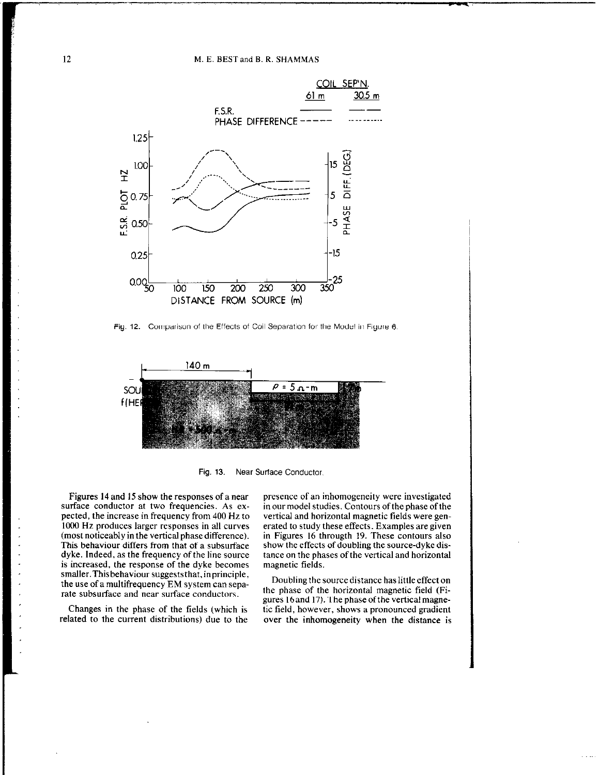

Fig. 12. Comparison of the Effects of Coil Separation for the Model in Figure 6.



Fig. 13. Near Suriace Conductor,

Figures 14 and 15 show the responses of a near surface conductor at two frequencies. As expected, the increase in frequency from 400 Hz to 1000 Hz produces larger responses in all curves (most noticeably in the vertical phase difference). This behaviour differs from that of a subsurface dyke. Indeed, as the frequency of the line source is increased, the response of the dyke becomes smaller. This behaviour suggests that, in principle, smaller. This behaviour suggests that, in principle,<br>the use of a multifrequency EM system can sepa-<br> $\frac{1}{2}$  Doubling the source distance has little effect on rate subsurface and near surface conductors. the phase of the horizontal magnetic field (Fi-

related to the current distributions) due to the over the inhomogeneity when the distance is

presence of an inhomogeneity were investigated in our model studies. Contours of the phase of the vertical and horizontal magnetic fields were generated to study these effects. Examples are given in Figures 16 througth 19. These contours also show the effects of doubling the source-dyke distance on the phases of the vertical and horizontal magnetic fields.

gures 16 and 17). The phase of the vertical magne-Changes in the phase of the fields (which is tic field, however, shows a pronounced gradient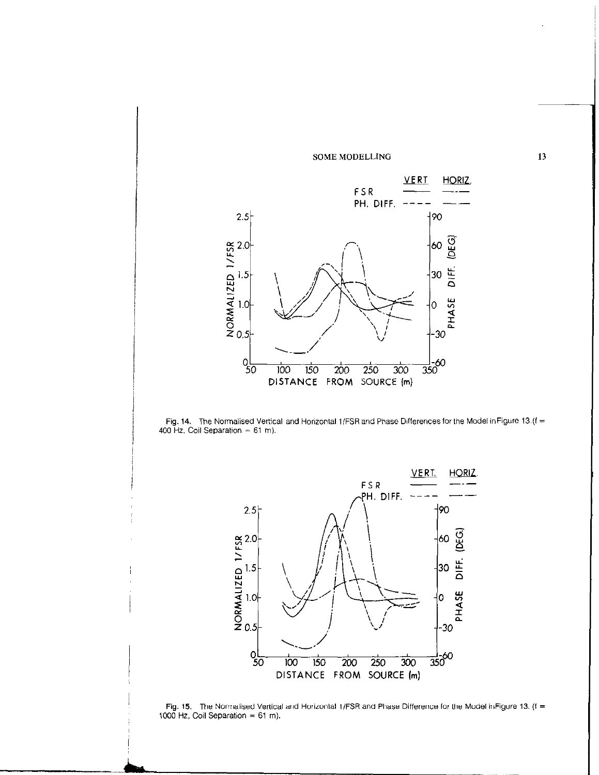





Fig. 15. The Normalised Vertical and Horizontal 1/FSR and Phase Difference for the Model in Figure 13. (f = 1000 Hz, Coil Separation = m).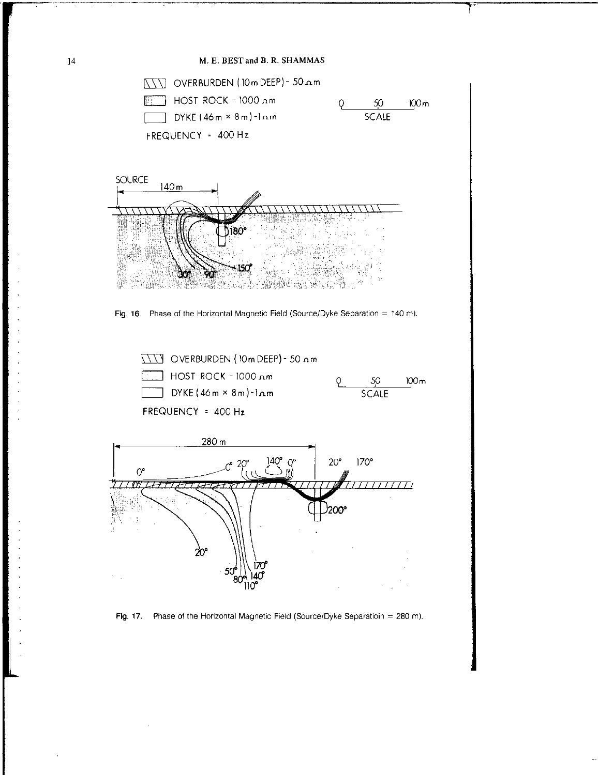

![](_page_9_Figure_2.jpeg)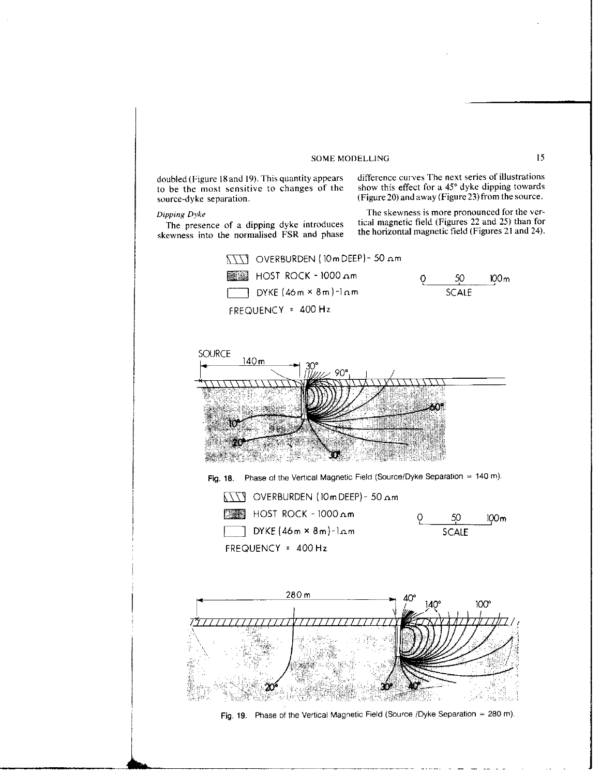to be the most sensitive to changes of the source-dyke separation.

skewness into the normalised FSR and phase

doubled (Figure 18 and 19). This quantity appears difference curves The next series of illustrations to be the most sensitive to changes of the show this effect for a  $45^{\circ}$  dyke dipping towards (Figure 20) and away (Figure 23) from the source.

Dipping Dyke<br>The presence of a dipping dyke introduces tical magnetic field (Figures 22 and 25) than for The presence of a dipping dyke introduces tical magnetic field (Figures 22 and 25) than for<br>reagances into the normalised FSR and phase the horizontal magnetic field (Figures 21 and 24).

![](_page_10_Figure_6.jpeg)

![](_page_10_Figure_7.jpeg)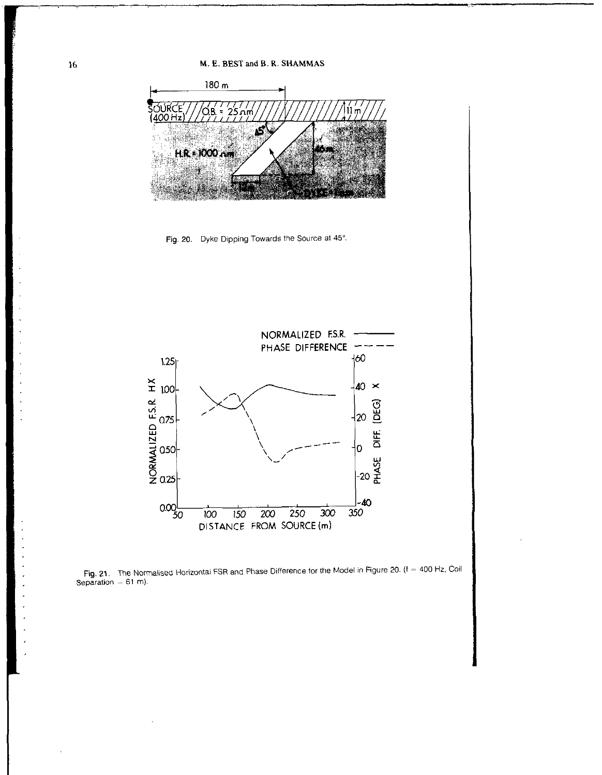![](_page_11_Figure_1.jpeg)

Fig. 20. Dyke Dipping Towards the Source at 45°.

![](_page_11_Figure_3.jpeg)

![](_page_11_Figure_4.jpeg)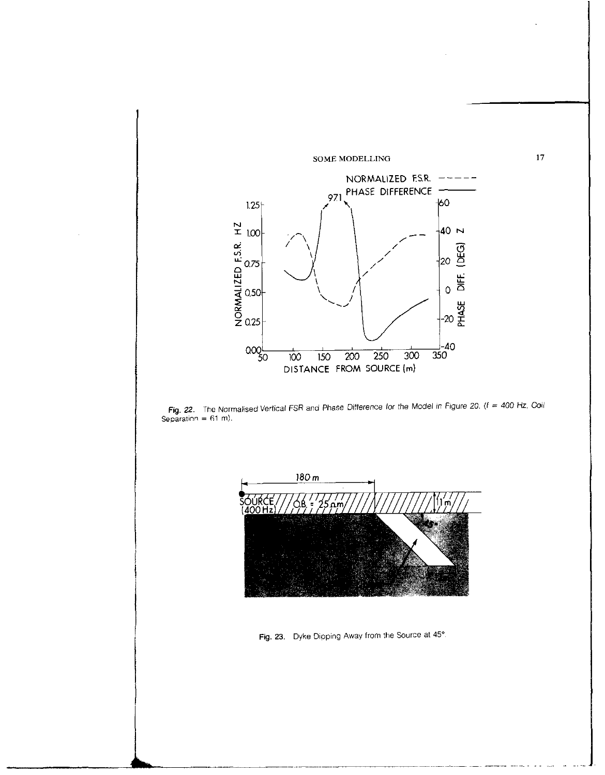![](_page_12_Figure_0.jpeg)

![](_page_12_Figure_1.jpeg)

![](_page_12_Figure_2.jpeg)

Fig. 23. Dyke Dipping Away from the Source at 45°.

 $17\text{ }$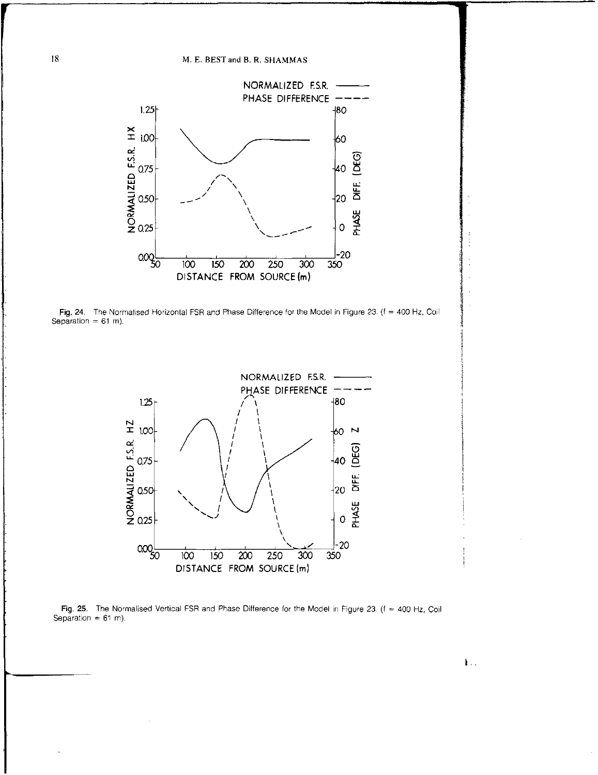![](_page_13_Figure_1.jpeg)

Fig. 24. The Normalised Horizontal FSR and Phase Difference for the Model in Figure 23. (f = 400 Hz, Coil Separation =  $61$  m).

![](_page_13_Figure_3.jpeg)

Fig. 25. The Normalised Vertical FSR and Phase Difference for the Model in Figure 23. ( $f = 400$  Hz, Coil Separation =  $61$  m).

18

 $\mathbf{L}$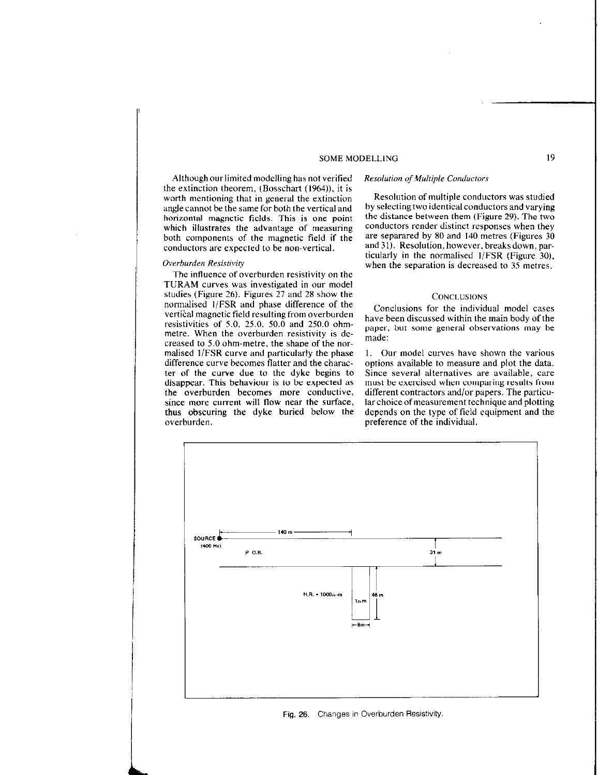Although our limited modelling has not verified the extinction theorem, (Bosschart (1964)). it is worth mentioning that in general the extinction angle cannot be the same for both the vertical and horizontal magnetic fields. This is one point which illustrates the advantage of measuring both components of the magnetic field if the conductors are expected to be non-vertical.

## Overburden Resisrivity

The influence of overburden resistivity on the TURAM curves was investigated in our model studies (Figure 26). Figures 27 and 28 show the normalised l/FSR and phase difference of the vertical magnetic field resulting from overburden resistivities of 5.0, 25.0, 50.0 and 250.0 ohmmetre. When the overburden resistivity is decreased to 5.0 ohm-metre, the shape of the normalised l/FSR curve and particularly the phase difference curve becomes flatter and the character of the curve due to the dyke begins to disappear. This behaviour is to be expected as the overburden becomes more conductive, since more current will flow near the surface, thus obscuring the dyke buried below the overburden. **preference** of the individual.

Resolution of multiple conductors was studied by selectingtwo identical conductors and varying the distance between them (Figure 29). The two conductors render distinct responses when they are separared by 80 and 140 metres (Figures 30 and 31). Resolution, however, breaksdown, particularly in the normalised  $1/FSR$  (Figure 30).

Resolution of Multiple Conductors

## **CONCLUSIONS**

when the separation is decreased to 35 metres.

Conclusions for the individual model cases have been discussed within the main body of the paper, but some general observations may be made:

1. Our model curves have shown the various options available to measure and plot the data. Since several alternatives are available, care must be exercised when comparing results from different contractors and/or papers. The particular choice of measurement technique and plotting depends on the type of field equipment and the

![](_page_14_Figure_8.jpeg)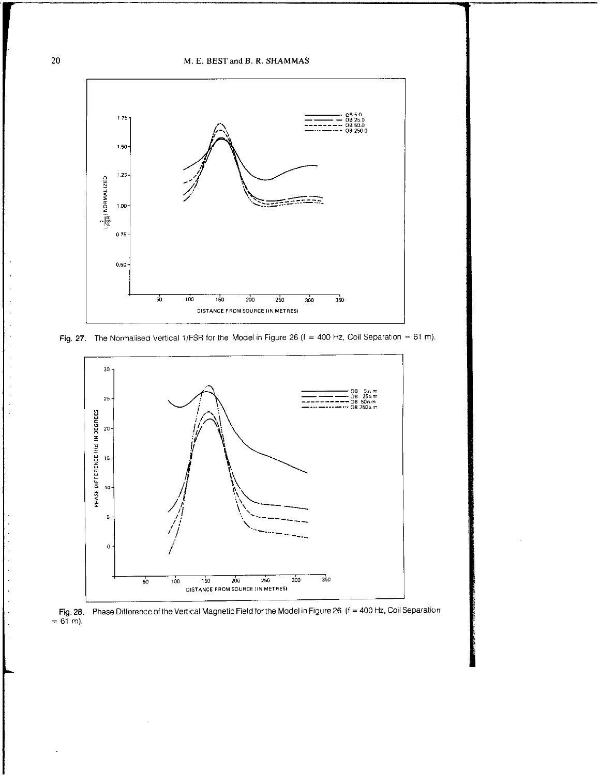M. E. BEST and B. R. SHAMMAS

![](_page_15_Figure_1.jpeg)

![](_page_15_Figure_2.jpeg)

![](_page_15_Figure_3.jpeg)

![](_page_15_Figure_4.jpeg)

20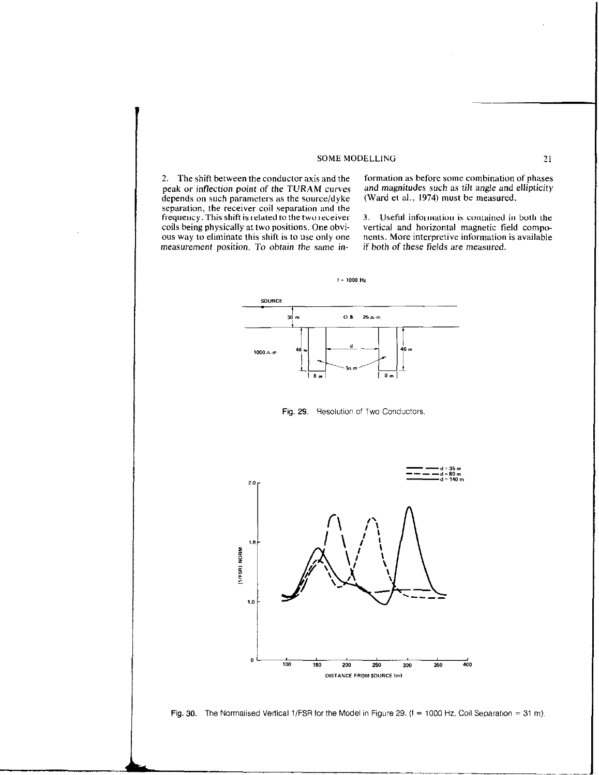peak or inflection point of the TURAM curves and magnitudes such as tilt angle and  $\epsilon$  depends on such parameters as the source/dyke (Ward et al., 1974) must be measured. depends on such parameters as the source/dyke separation, the receiver coil separation and the frequency. This shift is related to the two receiver coils being physically at two positions. One obvious way to eliminate this shift is to use only one measurement position. To obtain the same in-

2. The shift between the conductor axis and the formation as before some combination of phases peak or inflection point of the TURAM curves and magnitudes such as tilt angle and ellipticity

3. Useful information is contained in both the vertical and horizontal magnetic field components. More interpretive information is available if both of these fields are measured.

![](_page_16_Figure_4.jpeg)

 $f = 1000$  Hz

Fig. 29. Resolution of Two Conductors.

![](_page_16_Figure_6.jpeg)

![](_page_16_Figure_7.jpeg)